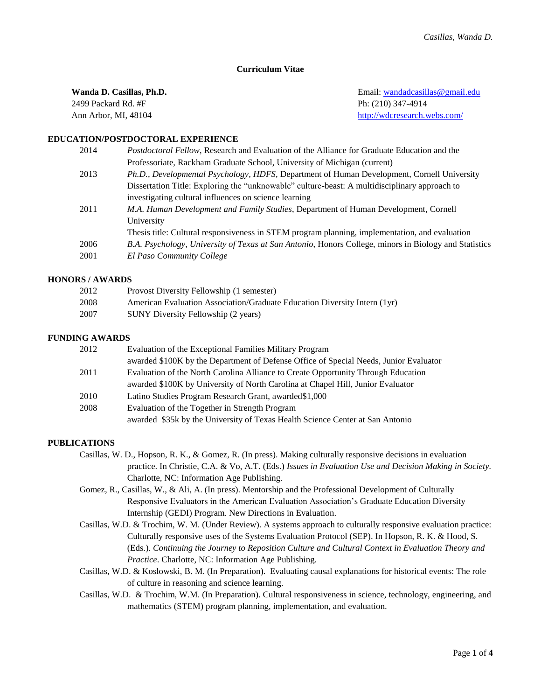# **Curriculum Vitae**

| Wanda D. Casillas, Ph.D. | Email: wandadcasillas @gmail.edu |
|--------------------------|----------------------------------|
| 2499 Packard Rd. #F      | Ph: (210) 347-4914               |
| Ann Arbor, MI, 48104     | http://wdcresearch.webs.com/     |

# **EDUCATION/POSTDOCTORAL EXPERIENCE**

| 2014 | <i>Postdoctoral Fellow, Research and Evaluation of the Alliance for Graduate Education and the</i>    |
|------|-------------------------------------------------------------------------------------------------------|
|      | Professoriate, Rackham Graduate School, University of Michigan (current)                              |
| 2013 | Ph.D., Developmental Psychology, HDFS, Department of Human Development, Cornell University            |
|      | Dissertation Title: Exploring the "unknowable" culture-beast: A multidisciplinary approach to         |
|      | investigating cultural influences on science learning                                                 |
| 2011 | <i>M.A. Human Development and Family Studies, Department of Human Development, Cornell</i>            |
|      | University                                                                                            |
|      | Thesis title: Cultural responsiveness in STEM program planning, implementation, and evaluation        |
| 2006 | B.A. Psychology, University of Texas at San Antonio, Honors College, minors in Biology and Statistics |
| 2001 | El Paso Community College                                                                             |
|      |                                                                                                       |

# **HONORS / AWARDS**

| 2012 | Provost Diversity Fellowship (1 semester)                                 |
|------|---------------------------------------------------------------------------|
| 2008 | American Evaluation Association/Graduate Education Diversity Intern (1yr) |
| 2007 | SUNY Diversity Fellowship (2 years)                                       |

# **FUNDING AWARDS**

| 2012 | Evaluation of the Exceptional Families Military Program                               |
|------|---------------------------------------------------------------------------------------|
|      | awarded \$100K by the Department of Defense Office of Special Needs, Junior Evaluator |
| 2011 | Evaluation of the North Carolina Alliance to Create Opportunity Through Education     |
|      | awarded \$100K by University of North Carolina at Chapel Hill, Junior Evaluator       |
| 2010 | Latino Studies Program Research Grant, awarded \$1,000                                |
| 2008 | Evaluation of the Together in Strength Program                                        |
|      | awarded \$35k by the University of Texas Health Science Center at San Antonio         |

### **PUBLICATIONS**

- Casillas, W. D., Hopson, R. K., & Gomez, R. (In press). Making culturally responsive decisions in evaluation practice. In Christie, C.A. & Vo, A.T. (Eds.) *Issues in Evaluation Use and Decision Making in Society.* Charlotte, NC: Information Age Publishing.
- Gomez, R., Casillas, W., & Ali, A. (In press). Mentorship and the Professional Development of Culturally Responsive Evaluators in the American Evaluation Association's Graduate Education Diversity Internship (GEDI) Program. New Directions in Evaluation.
- Casillas, W.D. & Trochim, W. M. (Under Review). A systems approach to culturally responsive evaluation practice: Culturally responsive uses of the Systems Evaluation Protocol (SEP). In Hopson, R. K. & Hood, S. (Eds.). *Continuing the Journey to Reposition Culture and Cultural Context in Evaluation Theory and Practice*. Charlotte, NC: Information Age Publishing.
- Casillas, W.D. & Koslowski, B. M. (In Preparation). Evaluating causal explanations for historical events: The role of culture in reasoning and science learning.
- Casillas, W.D. & Trochim, W.M. (In Preparation). Cultural responsiveness in science, technology, engineering, and mathematics (STEM) program planning, implementation, and evaluation.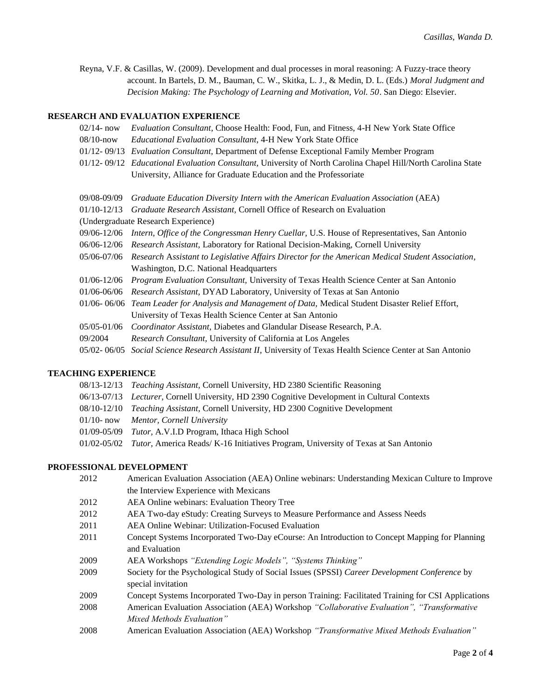Reyna, V.F. & Casillas, W. (2009). Development and dual processes in moral reasoning: A Fuzzy-trace theory account. In Bartels, D. M., Bauman, C. W., Skitka, L. J., & Medin, D. L. (Eds.) *Moral Judgment and Decision Making: The Psychology of Learning and Motivation, Vol. 50*. San Diego: Elsevier.

# **RESEARCH AND EVALUATION EXPERIENCE**

- 02/14- now *Evaluation Consultant*, Choose Health: Food, Fun, and Fitness, 4-H New York State Office
- 08/10-now *Educational Evaluation Consultant*, 4-H New York State Office
- 01/12- 09/13 *Evaluation Consultant,* Department of Defense Exceptional Family Member Program
- 01/12- 09/12 *Educational Evaluation Consultant,* University of North Carolina Chapel Hill/North Carolina State University, Alliance for Graduate Education and the Professoriate

| 09/08-09/09 Graduate Education Diversity Intern with the American Evaluation Association (AEA) |  |  |  |
|------------------------------------------------------------------------------------------------|--|--|--|
|                                                                                                |  |  |  |

- 01/10-12/13 *Graduate Research Assistant,* Cornell Office of Research on Evaluation
- (Undergraduate Research Experience)
- 09/06-12/06 *Intern, Office of the Congressman Henry Cuellar,* U.S. House of Representatives, San Antonio
- 06/06-12/06 *Research Assistant,* Laboratory for Rational Decision-Making, Cornell University
- 05/06-07/06 *Research* A*ssistant to Legislative Affairs Director for the American Medical Student Association,* Washington, D.C. National Headquarters
- 01/06-12/06 *Program Evaluation Consultant,* University of Texas Health Science Center at San Antonio
- 01/06-06/06 *Research Assistant,* DYAD Laboratory, University of Texas at San Antonio
- 01/06- 06/06 *Team Leader for Analysis and Management of Data,* Medical Student Disaster Relief Effort, University of Texas Health Science Center at San Antonio
- 05/05-01/06 *Coordinator Assistant,* Diabetes and Glandular Disease Research, P.A*.*
- 09/2004 *Research Consultant,* University of California at Los Angeles
- 05/02- 06/05 *Social Science Research Assistant II,* University of Texas Health Science Center at San Antonio

# **TEACHING EXPERIENCE**

08/13-12/13 *Teaching Assistant,* Cornell University, HD 2380 Scientific Reasoning 06/13-07/13 *Lecturer,* Cornell University, HD 2390 Cognitive Development in Cultural Contexts 08/10-12/10 *Teaching Assistant,* Cornell University, HD 2300 Cognitive Development 01/10- now *Mentor, Cornell University* 01/09-05/09 *Tutor,* A.V.I.D Program, Ithaca High School 01/02-05/02 *Tutor,* America Reads/ K-16 Initiatives Program, University of Texas at San Antonio

# **PROFESSIONAL DEVELOPMENT**

| 2012 | American Evaluation Association (AEA) Online webinars: Understanding Mexican Culture to Improve    |
|------|----------------------------------------------------------------------------------------------------|
|      | the Interview Experience with Mexicans                                                             |
| 2012 | AEA Online webinars: Evaluation Theory Tree                                                        |
| 2012 | AEA Two-day eStudy: Creating Surveys to Measure Performance and Assess Needs                       |
| 2011 | AEA Online Webinar: Utilization-Focused Evaluation                                                 |
| 2011 | Concept Systems Incorporated Two-Day eCourse: An Introduction to Concept Mapping for Planning      |
|      | and Evaluation                                                                                     |
| 2009 | AEA Workshops "Extending Logic Models", "Systems Thinking"                                         |
| 2009 | Society for the Psychological Study of Social Issues (SPSSI) Career Development Conference by      |
|      | special invitation                                                                                 |
| 2009 | Concept Systems Incorporated Two-Day in person Training: Facilitated Training for CSI Applications |
| 2008 | American Evaluation Association (AEA) Workshop "Collaborative Evaluation", "Transformative         |
|      | Mixed Methods Evaluation"                                                                          |
| 2008 | American Evaluation Association (AEA) Workshop "Transformative Mixed Methods Evaluation"           |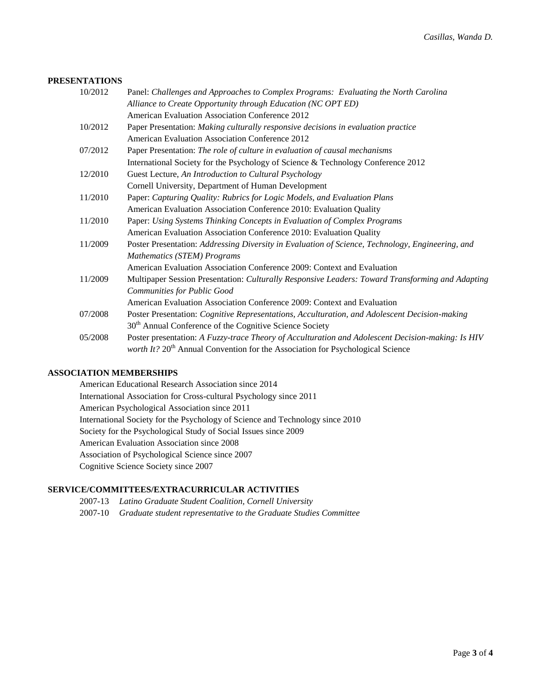# **PRESENTATIONS**

| 10/2012 | Panel: Challenges and Approaches to Complex Programs: Evaluating the North Carolina               |
|---------|---------------------------------------------------------------------------------------------------|
|         | Alliance to Create Opportunity through Education (NC OPT ED)                                      |
|         | American Evaluation Association Conference 2012                                                   |
| 10/2012 | Paper Presentation: Making culturally responsive decisions in evaluation practice                 |
|         | <b>American Evaluation Association Conference 2012</b>                                            |
| 07/2012 | Paper Presentation: The role of culture in evaluation of causal mechanisms                        |
|         | International Society for the Psychology of Science & Technology Conference 2012                  |
| 12/2010 | Guest Lecture, An Introduction to Cultural Psychology                                             |
|         | Cornell University, Department of Human Development                                               |
| 11/2010 | Paper: Capturing Quality: Rubrics for Logic Models, and Evaluation Plans                          |
|         | American Evaluation Association Conference 2010: Evaluation Quality                               |
| 11/2010 | Paper: Using Systems Thinking Concepts in Evaluation of Complex Programs                          |
|         | American Evaluation Association Conference 2010: Evaluation Quality                               |
| 11/2009 | Poster Presentation: Addressing Diversity in Evaluation of Science, Technology, Engineering, and  |
|         | <b>Mathematics (STEM) Programs</b>                                                                |
|         | American Evaluation Association Conference 2009: Context and Evaluation                           |
| 11/2009 | Multipaper Session Presentation: Culturally Responsive Leaders: Toward Transforming and Adapting  |
|         | Communities for Public Good                                                                       |
|         | American Evaluation Association Conference 2009: Context and Evaluation                           |
| 07/2008 | Poster Presentation: Cognitive Representations, Acculturation, and Adolescent Decision-making     |
|         | 30 <sup>th</sup> Annual Conference of the Cognitive Science Society                               |
| 05/2008 | Poster presentation: A Fuzzy-trace Theory of Acculturation and Adolescent Decision-making: Is HIV |
|         | worth It? 20 <sup>th</sup> Annual Convention for the Association for Psychological Science        |

# **ASSOCIATION MEMBERSHIPS**

American Educational Research Association since 2014 International Association for Cross-cultural Psychology since 2011 American Psychological Association since 2011 International Society for the Psychology of Science and Technology since 2010 Society for the Psychological Study of Social Issues since 2009 American Evaluation Association since 2008 Association of Psychological Science since 2007 Cognitive Science Society since 2007

# **SERVICE/COMMITTEES/EXTRACURRICULAR ACTIVITIES**

- 2007-13 *Latino Graduate Student Coalition, Cornell University*
- 2007-10 *Graduate student representative to the Graduate Studies Committee*